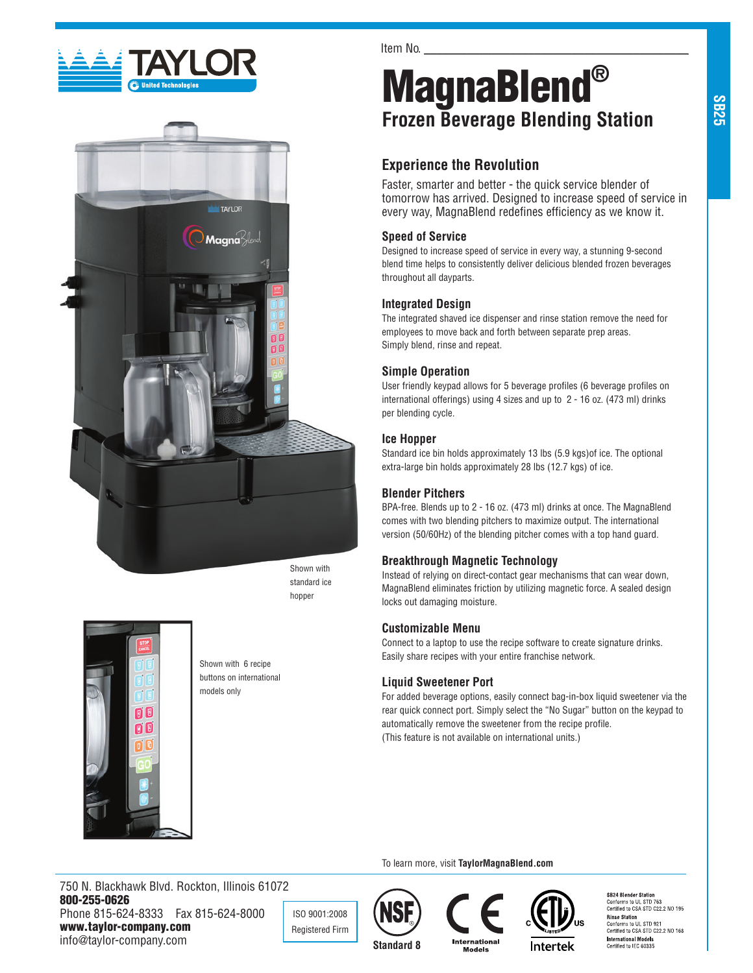



Shown with standard ice hopper



Shown with 6 recipe buttons on international models only

Item No.

# MagnaBlend® **Frozen Beverage Blending Station**

## **Experience the Revolution**

Faster, smarter and better - the quick service blender of tomorrow has arrived. Designed to increase speed of service in every way, MagnaBlend redefines efficiency as we know it.

## **Speed of Service**

Designed to increase speed of service in every way, a stunning 9-second blend time helps to consistently deliver delicious blended frozen beverages throughout all dayparts.

## **Integrated Design**

The integrated shaved ice dispenser and rinse station remove the need for employees to move back and forth between separate prep areas. Simply blend, rinse and repeat.

## **Simple Operation**

User friendly keypad allows for 5 beverage profiles (6 beverage profiles on international offerings) using 4 sizes and up to 2 - 16 oz. (473 ml) drinks per blending cycle.

### **Ice Hopper**

Standard ice bin holds approximately 13 lbs (5.9 kgs)of ice. The optional extra-large bin holds approximately 28 lbs (12.7 kgs) of ice.

## **Blender Pitchers**

BPA-free. Blends up to 2 - 16 oz. (473 ml) drinks at once. The MagnaBlend comes with two blending pitchers to maximize output. The international version (50/60Hz) of the blending pitcher comes with a top hand guard.

### **Breakthrough Magnetic Technology**

Instead of relying on direct-contact gear mechanisms that can wear down, MagnaBlend eliminates friction by utilizing magnetic force. A sealed design locks out damaging moisture.

### **Customizable Menu**

Connect to a laptop to use the recipe software to create signature drinks. Easily share recipes with your entire franchise network.

### **Liquid Sweetener Port**

For added beverage options, easily connect bag-in-box liquid sweetener via the rear quick connect port. Simply select the "No Sugar" button on the keypad to automatically remove the sweetener from the recipe profile. (This feature is not available on international units.)

To learn more, visit **TaylorMagnaBlend.com**

750 N. Blackhawk Blvd. Rockton, Illinois 61072 800-255-0626 Phone 815-624-8333 Fax 815-624-8000 www.taylor-company.com info@taylor-company.com

ISO 9001:2008 Registered Firm





SB24 Blender Station<br>Conforms to UL STD 763<br>Certified to CSA STD C22.2 NO 195 **Rinse Station**<br>Conforms to UL STD 921<br>Certified to CSA STD C22.2 NO 168 **International Models**<br>Certified to IEC 60335